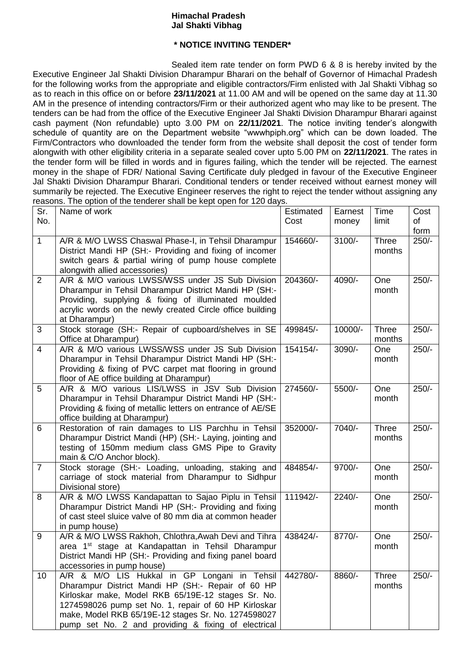## **Himachal Pradesh Jal Shakti Vibhag**

## **\* NOTICE INVITING TENDER\***

Sealed item rate tender on form PWD 6 & 8 is hereby invited by the Executive Engineer Jal Shakti Division Dharampur Bharari on the behalf of Governor of Himachal Pradesh for the following works from the appropriate and eligible contractors/Firm enlisted with Jal Shakti Vibhag so as to reach in this office on or before **23/11/2021** at 11.00 AM and will be opened on the same day at 11.30 AM in the presence of intending contractors/Firm or their authorized agent who may like to be present. The tenders can be had from the office of the Executive Engineer Jal Shakti Division Dharampur Bharari against cash payment (Non refundable) upto 3.00 PM on **22/11/2021**. The notice inviting tender's alongwith schedule of quantity are on the Department website "wwwhpiph.org" which can be down loaded. The Firm/Contractors who downloaded the tender form from the website shall deposit the cost of tender form alongwith with other eligibility criteria in a separate sealed cover upto 5.00 PM on **22/11/2021**. The rates in the tender form will be filled in words and in figures failing, which the tender will be rejected. The earnest money in the shape of FDR/ National Saving Certificate duly pledged in favour of the Executive Engineer Jal Shakti Division Dharampur Bharari. Conditional tenders or tender received without earnest money will summarily be rejected. The Executive Engineer reserves the right to reject the tender without assigning any reasons. The option of the tenderer shall be kept open for 120 days.

| Sr.            | Name of work                                                  | <b>Estimated</b> | Earnest  | Time   | Cost    |
|----------------|---------------------------------------------------------------|------------------|----------|--------|---------|
| No.            |                                                               | Cost             | money    | limit  | of      |
|                |                                                               |                  |          |        | form    |
| $\mathbf{1}$   | A/R & M/O LWSS Chaswal Phase-I, in Tehsil Dharampur           | 154660/-         | $3100/-$ | Three  | $250/-$ |
|                | District Mandi HP (SH:- Providing and fixing of incomer       |                  |          | months |         |
|                | switch gears & partial wiring of pump house complete          |                  |          |        |         |
|                | alongwith allied accessories)                                 |                  |          |        |         |
| 2              | A/R & M/O various LWSS/WSS under JS Sub Division              | 204360/-         | 4090/-   | One    | $250/-$ |
|                | Dharampur in Tehsil Dharampur District Mandi HP (SH:-         |                  |          | month  |         |
|                | Providing, supplying & fixing of illuminated moulded          |                  |          |        |         |
|                | acrylic words on the newly created Circle office building     |                  |          |        |         |
|                | at Dharampur)                                                 |                  |          |        |         |
| 3              | Stock storage (SH:- Repair of cupboard/shelves in SE          | 499845/-         | 10000/-  | Three  | $250/-$ |
|                | Office at Dharampur)                                          |                  |          | months |         |
| $\overline{4}$ | A/R & M/O various LWSS/WSS under JS Sub Division              | 154154/-         | 3090/-   | One    | $250/-$ |
|                | Dharampur in Tehsil Dharampur District Mandi HP (SH:-         |                  |          | month  |         |
|                | Providing & fixing of PVC carpet mat flooring in ground       |                  |          |        |         |
|                | floor of AE office building at Dharampur)                     |                  |          |        |         |
| 5              | A/R & M/O various LIS/LWSS in JSV Sub Division                | 274560/-         | 5500/-   | One    | $250/-$ |
|                | Dharampur in Tehsil Dharampur District Mandi HP (SH:-         |                  |          | month  |         |
|                | Providing & fixing of metallic letters on entrance of AE/SE   |                  |          |        |         |
|                | office building at Dharampur)                                 |                  |          |        |         |
| 6              | Restoration of rain damages to LIS Parchhu in Tehsil          | 352000/-         | 7040/-   | Three  | $250/-$ |
|                | Dharampur District Mandi (HP) (SH:- Laying, jointing and      |                  |          | months |         |
|                | testing of 150mm medium class GMS Pipe to Gravity             |                  |          |        |         |
|                | main & C/O Anchor block).                                     |                  |          |        |         |
| $\overline{7}$ | Stock storage (SH:- Loading, unloading, staking and           | 484854/-         | 9700/-   | One    | $250/-$ |
|                | carriage of stock material from Dharampur to Sidhpur          |                  |          | month  |         |
|                | Divisional store)                                             |                  |          |        |         |
| 8              | A/R & M/O LWSS Kandapattan to Sajao Piplu in Tehsil           | 111942/-         | $2240/-$ | One    | $250/-$ |
|                | Dharampur District Mandi HP (SH:- Providing and fixing        |                  |          | month  |         |
|                | of cast steel sluice valve of 80 mm dia at common header      |                  |          |        |         |
|                | in pump house)                                                |                  |          |        |         |
| 9              | A/R & M/O LWSS Rakhoh, Chlothra, Awah Devi and Tihra          | 438424/-         | 8770/-   | One    | $250/-$ |
|                | area 1 <sup>st</sup> stage at Kandapattan in Tehsil Dharampur |                  |          | month  |         |
|                | District Mandi HP (SH:- Providing and fixing panel board      |                  |          |        |         |
|                | accessories in pump house)                                    |                  |          |        |         |
| 10             | A/R & M/O LIS Hukkal in GP Longani in Tehsil                  | 442780/-         | 8860/-   | Three  | $250/-$ |
|                | Dharampur District Mandi HP (SH:- Repair of 60 HP             |                  |          | months |         |
|                | Kirloskar make, Model RKB 65/19E-12 stages Sr. No.            |                  |          |        |         |
|                | 1274598026 pump set No. 1, repair of 60 HP Kirloskar          |                  |          |        |         |
|                | make, Model RKB 65/19E-12 stages Sr. No. 1274598027           |                  |          |        |         |
|                | pump set No. 2 and providing & fixing of electrical           |                  |          |        |         |